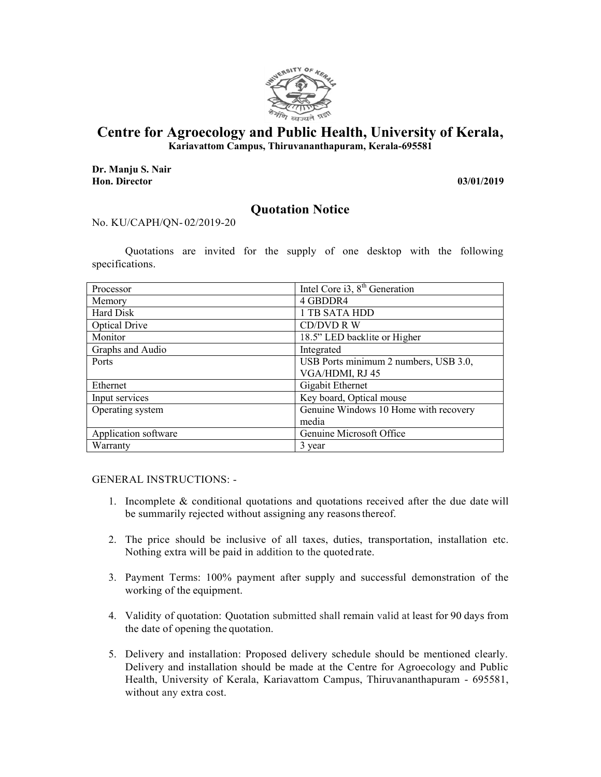

## **Centre for Agroecology and Public Health, University of Kerala,**

**Kariavattom Campus, Thiruvananthapuram, Kerala-695581** 

**Dr. Manju S. Nair Hon. Director 03/01/2019**

## **Quotation Notice**

## No. KU/CAPH/QN- 02/2019-20

Quotations are invited for the supply of one desktop with the following specifications.

| Processor            | Intel Core i3, $8th$ Generation       |
|----------------------|---------------------------------------|
| Memory               | 4 GBDDR4                              |
| Hard Disk            | 1 TB SATA HDD                         |
| <b>Optical Drive</b> | CD/DVD R W                            |
| Monitor              | 18.5" LED backlite or Higher          |
| Graphs and Audio     | Integrated                            |
| Ports                | USB Ports minimum 2 numbers, USB 3.0, |
|                      | VGA/HDMI, RJ 45                       |
| Ethernet             | Gigabit Ethernet                      |
| Input services       | Key board, Optical mouse              |
| Operating system     | Genuine Windows 10 Home with recovery |
|                      | media                                 |
| Application software | Genuine Microsoft Office              |
| Warranty             | 3 year                                |

GENERAL INSTRUCTIONS: -

- 1. Incomplete & conditional quotations and quotations received after the due date will be summarily rejected without assigning any reasons thereof.
- 2. The price should be inclusive of all taxes, duties, transportation, installation etc. Nothing extra will be paid in addition to the quoted rate.
- 3. Payment Terms: 100% payment after supply and successful demonstration of the working of the equipment.
- 4. Validity of quotation: Quotation submitted shall remain valid at least for 90 days from the date of opening the quotation.
- 5. Delivery and installation: Proposed delivery schedule should be mentioned clearly. Delivery and installation should be made at the Centre for Agroecology and Public Health, University of Kerala, Kariavattom Campus, Thiruvananthapuram - 695581, without any extra cost.